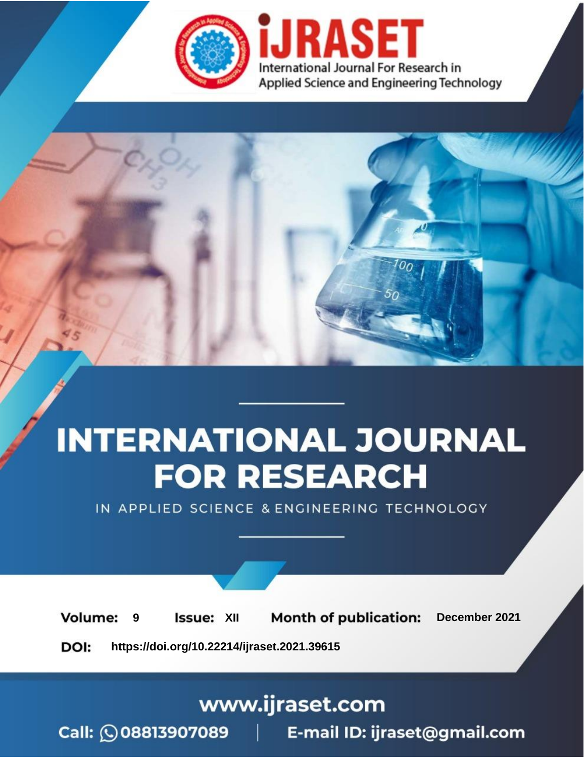

# **INTERNATIONAL JOURNAL FOR RESEARCH**

IN APPLIED SCIENCE & ENGINEERING TECHNOLOGY

**Month of publication: Volume: Issue: XII** December 2021 9 DOI: https://doi.org/10.22214/ijraset.2021.39615

www.ijraset.com

Call: 008813907089 | E-mail ID: ijraset@gmail.com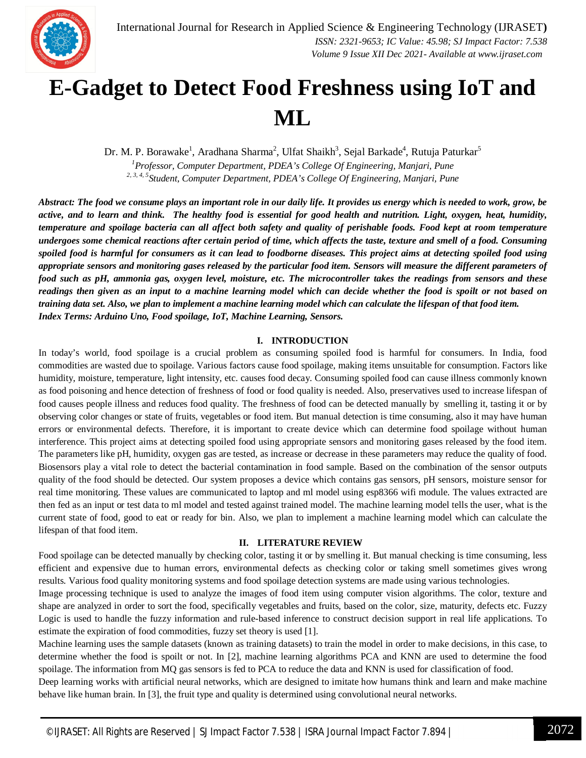

### **E-Gadget to Detect Food Freshness using IoT and ML**

Dr. M. P. Borawake<sup>1</sup>, Aradhana Sharma<sup>2</sup>, Ulfat Shaikh<sup>3</sup>, Sejal Barkade<sup>4</sup>, Rutuja Paturkar<sup>5</sup> *<sup>1</sup>Professor, Computer Department, PDEA's College Of Engineering, Manjari, Pune 2, 3, 4, 5Student, Computer Department, PDEA's College Of Engineering, Manjari, Pune*

*Abstract: The food we consume plays an important role in our daily life. It provides us energy which is needed to work, grow, be active, and to learn and think. The healthy food is essential for good health and nutrition. Light, oxygen, heat, humidity, temperature and spoilage bacteria can all affect both safety and quality of perishable foods. Food kept at room temperature undergoes some chemical reactions after certain period of time, which affects the taste, texture and smell of a food. Consuming spoiled food is harmful for consumers as it can lead to foodborne diseases. This project aims at detecting spoiled food using appropriate sensors and monitoring gases released by the particular food item. Sensors will measure the different parameters of food such as pH, ammonia gas, oxygen level, moisture, etc. The microcontroller takes the readings from sensors and these readings then given as an input to a machine learning model which can decide whether the food is spoilt or not based on training data set. Also, we plan to implement a machine learning model which can calculate the lifespan of that food item.* *Index Terms: Arduino Uno, Food spoilage, IoT, Machine Learning, Sensors.*

#### **I. INTRODUCTION**

In today's world, food spoilage is a crucial problem as consuming spoiled food is harmful for consumers. In India, food commodities are wasted due to spoilage. Various factors cause food spoilage, making items unsuitable for consumption. Factors like humidity, moisture, temperature, light intensity, etc. causes food decay. Consuming spoiled food can cause illness commonly known as food poisoning and hence detection of freshness of food or food quality is needed. Also, preservatives used to increase lifespan of food causes people illness and reduces food quality. The freshness of food can be detected manually by smelling it, tasting it or by observing color changes or state of fruits, vegetables or food item. But manual detection is time consuming, also it may have human errors or environmental defects. Therefore, it is important to create device which can determine food spoilage without human interference. This project aims at detecting spoiled food using appropriate sensors and monitoring gases released by the food item. The parameters like pH, humidity, oxygen gas are tested, as increase or decrease in these parameters may reduce the quality of food. Biosensors play a vital role to detect the bacterial contamination in food sample. Based on the combination of the sensor outputs quality of the food should be detected. Our system proposes a device which contains gas sensors, pH sensors, moisture sensor for real time monitoring. These values are communicated to laptop and ml model using esp8366 wifi module. The values extracted are then fed as an input or test data to ml model and tested against trained model. The machine learning model tells the user, what is the current state of food, good to eat or ready for bin. Also, we plan to implement a machine learning model which can calculate the lifespan of that food item.

#### **II. LITERATURE REVIEW**

Food spoilage can be detected manually by checking color, tasting it or by smelling it. But manual checking is time consuming, less efficient and expensive due to human errors, environmental defects as checking color or taking smell sometimes gives wrong results. Various food quality monitoring systems and food spoilage detection systems are made using various technologies.

Image processing technique is used to analyze the images of food item using computer vision algorithms. The color, texture and shape are analyzed in order to sort the food, specifically vegetables and fruits, based on the color, size, maturity, defects etc. Fuzzy Logic is used to handle the fuzzy information and rule-based inference to construct decision support in real life applications. To estimate the expiration of food commodities, fuzzy set theory is used [1].

Machine learning uses the sample datasets (known as training datasets) to train the model in order to make decisions, in this case, to determine whether the food is spoilt or not. In [2], machine learning algorithms PCA and KNN are used to determine the food spoilage. The information from MQ gas sensors is fed to PCA to reduce the data and KNN is used for classification of food.

Deep learning works with artificial neural networks, which are designed to imitate how humans think and learn and make machine behave like human brain. In [3], the fruit type and quality is determined using convolutional neural networks.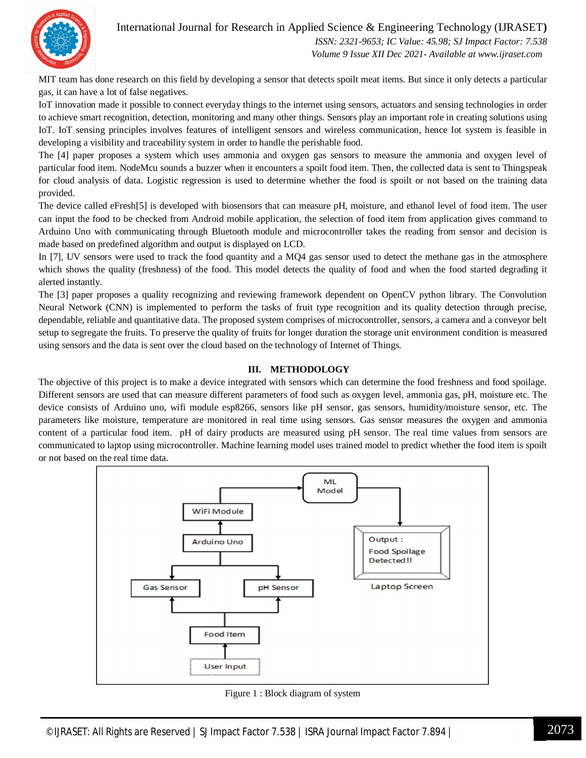International Journal for Research in Applied Science & Engineering Technology (IJRASET**)**



 *ISSN: 2321-9653; IC Value: 45.98; SJ Impact Factor: 7.538 Volume 9 Issue XII Dec 2021- Available at www.ijraset.com*

MIT team has done research on this field by developing a sensor that detects spoilt meat items. But since it only detects a particular gas, it can have a lot of false negatives.

IoT innovation made it possible to connect everyday things to the internet using sensors, actuators and sensing technologies in order to achieve smart recognition, detection, monitoring and many other things. Sensors play an important role in creating solutions using IoT. IoT sensing principles involves features of intelligent sensors and wireless communication, hence Iot system is feasible in developing a visibility and traceability system in order to handle the perishable food.

The [4] paper proposes a system which uses ammonia and oxygen gas sensors to measure the ammonia and oxygen level of particular food item. NodeMcu sounds a buzzer when it encounters a spoilt food item. Then, the collected data is sent to Thingspeak for cloud analysis of data. Logistic regression is used to determine whether the food is spoilt or not based on the training data provided.

The device called eFresh[5] is developed with biosensors that can measure pH, moisture, and ethanol level of food item. The user can input the food to be checked from Android mobile application, the selection of food item from application gives command to Arduino Uno with communicating through Bluetooth module and microcontroller takes the reading from sensor and decision is made based on predefined algorithm and output is displayed on LCD.

In [7], UV sensors were used to track the food quantity and a MQ4 gas sensor used to detect the methane gas in the atmosphere which shows the quality (freshness) of the food. This model detects the quality of food and when the food started degrading it alerted instantly.

The [3] paper proposes a quality recognizing and reviewing framework dependent on OpenCV python library. The Convolution Neural Network (CNN) is implemented to perform the tasks of fruit type recognition and its quality detection through precise, dependable, reliable and quantitative data. The proposed system comprises of microcontroller, sensors, a camera and a conveyor belt setup to segregate the fruits. To preserve the quality of fruits for longer duration the storage unit environment condition is measured using sensors and the data is sent over the cloud based on the technology of Internet of Things.

#### **III. METHODOLOGY**

The objective of this project is to make a device integrated with sensors which can determine the food freshness and food spoilage. Different sensors are used that can measure different parameters of food such as oxygen level, ammonia gas, pH, moisture etc. The device consists of Arduino uno, wifi module esp8266, sensors like pH sensor, gas sensors, humidity/moisture sensor, etc. The parameters like moisture, temperature are monitored in real time using sensors. Gas sensor measures the oxygen and ammonia content of a particular food item. pH of dairy products are measured using pH sensor. The real time values from sensors are communicated to laptop using microcontroller. Machine learning model uses trained model to predict whether the food item is spoilt or not based on the real time data.



Figure 1 : Block diagram of system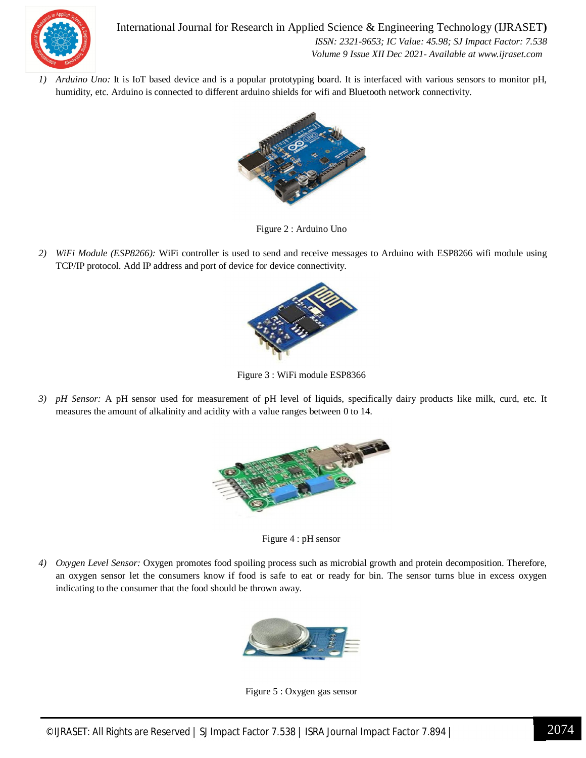

*1) Arduino Uno:* It is IoT based device and is a popular prototyping board. It is interfaced with various sensors to monitor pH, humidity, etc. Arduino is connected to different arduino shields for wifi and Bluetooth network connectivity.



Figure 2 : Arduino Uno

*2) WiFi Module (ESP8266):* WiFi controller is used to send and receive messages to Arduino with ESP8266 wifi module using TCP/IP protocol. Add IP address and port of device for device connectivity.



Figure 3 : WiFi module ESP8366

*3) pH Sensor:* A pH sensor used for measurement of pH level of liquids, specifically dairy products like milk, curd, etc. It measures the amount of alkalinity and acidity with a value ranges between 0 to 14.



Figure 4 : pH sensor

*4) Oxygen Level Sensor:* Oxygen promotes food spoiling process such as microbial growth and protein decomposition. Therefore, an oxygen sensor let the consumers know if food is safe to eat or ready for bin. The sensor turns blue in excess oxygen indicating to the consumer that the food should be thrown away.



Figure 5 : Oxygen gas sensor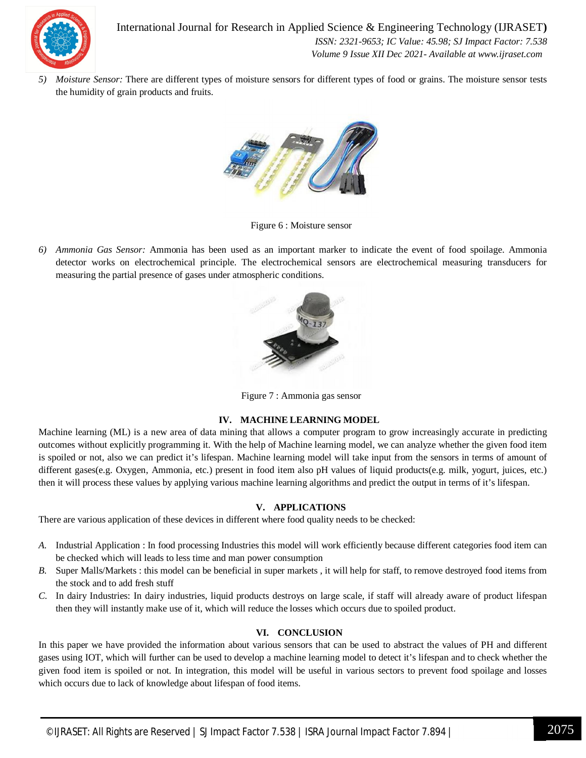

*5) Moisture Sensor:* There are different types of moisture sensors for different types of food or grains. The moisture sensor tests the humidity of grain products and fruits.



Figure 6 : Moisture sensor

*6) Ammonia Gas Sensor:* Ammonia has been used as an important marker to indicate the event of food spoilage. Ammonia detector works on electrochemical principle. The electrochemical sensors are electrochemical measuring transducers for measuring the partial presence of gases under atmospheric conditions.



Figure 7 : Ammonia gas sensor

#### **IV. MACHINE LEARNING MODEL**

Machine learning (ML) is a new area of data mining that allows a computer program to grow increasingly accurate in predicting outcomes without explicitly programming it. With the help of Machine learning model, we can analyze whether the given food item is spoiled or not, also we can predict it's lifespan. Machine learning model will take input from the sensors in terms of amount of different gases(e.g. Oxygen, Ammonia, etc.) present in food item also pH values of liquid products(e.g. milk, yogurt, juices, etc.) then it will process these values by applying various machine learning algorithms and predict the output in terms of it's lifespan.

#### **V. APPLICATIONS**

There are various application of these devices in different where food quality needs to be checked:

- *A.* Industrial Application : In food processing Industries this model will work efficiently because different categories food item can be checked which will leads to less time and man power consumption
- *B.* Super Malls/Markets : this model can be beneficial in super markets , it will help for staff, to remove destroyed food items from the stock and to add fresh stuff
- *C.* In dairy Industries: In dairy industries, liquid products destroys on large scale, if staff will already aware of product lifespan then they will instantly make use of it, which will reduce the losses which occurs due to spoiled product.

#### **VI. CONCLUSION**

In this paper we have provided the information about various sensors that can be used to abstract the values of PH and different gases using IOT, which will further can be used to develop a machine learning model to detect it's lifespan and to check whether the given food item is spoiled or not. In integration, this model will be useful in various sectors to prevent food spoilage and losses which occurs due to lack of knowledge about lifespan of food items.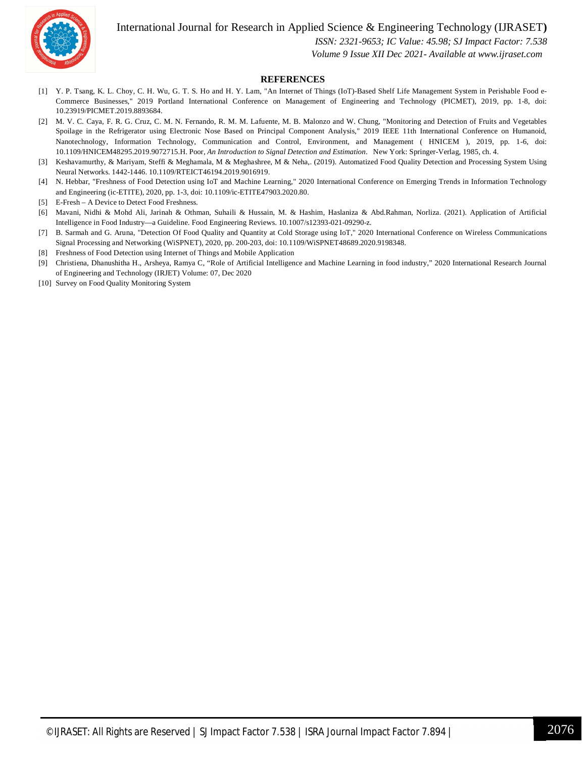International Journal for Research in Applied Science & Engineering Technology (IJRASET**)**



 *ISSN: 2321-9653; IC Value: 45.98; SJ Impact Factor: 7.538*

 *Volume 9 Issue XII Dec 2021- Available at www.ijraset.com*

#### **REFERENCES**

- [1] Y. P. Tsang, K. L. Choy, C. H. Wu, G. T. S. Ho and H. Y. Lam, "An Internet of Things (IoT)-Based Shelf Life Management System in Perishable Food e-Commerce Businesses," 2019 Portland International Conference on Management of Engineering and Technology (PICMET), 2019, pp. 1-8, doi: 10.23919/PICMET.2019.8893684.
- [2] M. V. C. Caya, F. R. G. Cruz, C. M. N. Fernando, R. M. M. Lafuente, M. B. Malonzo and W. Chung, "Monitoring and Detection of Fruits and Vegetables Spoilage in the Refrigerator using Electronic Nose Based on Principal Component Analysis," 2019 IEEE 11th International Conference on Humanoid, Nanotechnology, Information Technology, Communication and Control, Environment, and Management ( HNICEM ), 2019, pp. 1-6, doi: 10.1109/HNICEM48295.2019.9072715.H. Poor, *An Introduction to Signal Detection and Estimation*. New York: Springer-Verlag, 1985, ch. 4.
- [3] Keshavamurthy, & Mariyam, Steffi & Meghamala, M & Meghashree, M & Neha,. (2019). Automatized Food Quality Detection and Processing System Using Neural Networks. 1442-1446. 10.1109/RTEICT46194.2019.9016919.
- [4] N. Hebbar, "Freshness of Food Detection using IoT and Machine Learning," 2020 International Conference on Emerging Trends in Information Technology and Engineering (ic-ETITE), 2020, pp. 1-3, doi: 10.1109/ic-ETITE47903.2020.80.
- [5] E-Fresh A Device to Detect Food Freshness.
- [6] Mavani, Nidhi & Mohd Ali, Jarinah & Othman, Suhaili & Hussain, M. & Hashim, Haslaniza & Abd.Rahman, Norliza. (2021). Application of Artificial Intelligence in Food Industry—a Guideline. Food Engineering Reviews. 10.1007/s12393-021-09290-z.
- [7] B. Sarmah and G. Aruna, "Detection Of Food Quality and Quantity at Cold Storage using IoT," 2020 International Conference on Wireless Communications Signal Processing and Networking (WiSPNET), 2020, pp. 200-203, doi: 10.1109/WiSPNET48689.2020.9198348.
- [8] Freshness of Food Detection using Internet of Things and Mobile Application
- [9] Christiena, Dhanushitha H., Arsheya, Ramya C, "Role of Artificial Intelligence and Machine Learning in food industry," 2020 International Research Journal of Engineering and Technology (IRJET) Volume: 07, Dec 2020
- [10] Survey on Food Quality Monitoring System